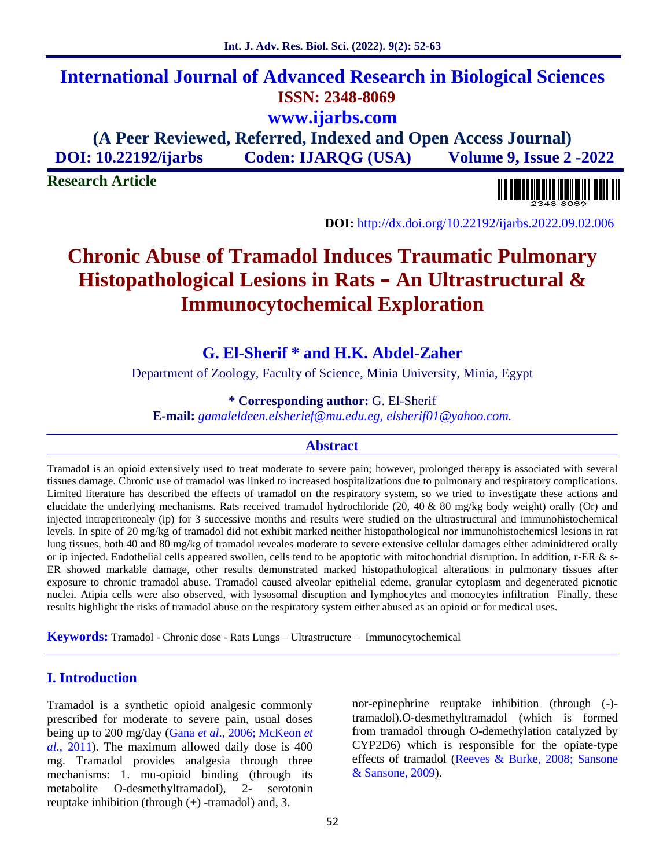# **International Journal of Advanced Research in Biological Sciences ISSN: 2348-8069 www.ijarbs.com**

**(A Peer Reviewed, Referred, Indexed and Open Access Journal) DOI: 10.22192/ijarbs Coden: IJARQG (USA) Volume 9, Issue 2 -2022**

**Research Article**



**DOI:** http://dx.doi.org/10.22192/ijarbs.2022.09.02.006

# **Chronic Abuse of Tramadol Induces Traumatic Pulmonary Histopathological Lesions in Rats – An Ultrastructural & Immunocytochemical Exploration**

**G. El-Sherif \* and H.K. Abdel-Zaher**

Department of Zoology, Faculty of Science, Minia University, Minia, Egypt

**\* Corresponding author:** G. El-Sherif

**E-mail:** *gamaleldeen.elsherief@mu.edu.eg, elsherif01@yahoo.com.*

#### **Abstract**

Tramadol is an opioid extensively used to treat moderate to severe pain; however, prolonged therapy is associated with several tissues damage. Chronic use of tramadol was linked to increased hospitalizations due to pulmonary and respiratory complications. Limited literature has described the effects of tramadol on the respiratory system, so we tried to investigate these actions and elucidate the underlying mechanisms. Rats received tramadol hydrochloride (20, 40 & 80 mg/kg body weight) orally (Or) and injected intraperitonealy (ip) for 3 successive months and results were studied on the ultrastructural and immunohistochemical levels. In spite of 20 mg/kg of tramadol did not exhibit marked neither histopathological nor immunohistochemicsl lesions in rat lung tissues, both 40 and 80 mg/kg of tramadol reveales moderate to severe extensive cellular damages either adminidtered orally or ip injected. Endothelial cells appeared swollen, cells tend to be apoptotic with mitochondrial disruption. In addition, r-ER & s- ER showed markable damage, other results demonstrated marked histopathological alterations in pulmonary tissues after exposure to chronic tramadol abuse. Tramadol caused alveolar epithelial edeme, granular cytoplasm and degenerated picnotic nuclei. Atipia cells were also observed, with lysosomal disruption and lymphocytes and monocytes infiltration Finally, these results highlight the risks of tramadol abuse on the respiratory system either abused as an opioid or for medical uses.

**Keywords:** Tramadol - Chronic dose - Rats Lungs – Ultrastructure – Immunocytochemical

## **I. Introduction**

Tramadol is a synthetic opioid analgesic commonly prescribed for moderate to severe pain, usual doses being up to 200 mg/day (Gana *et al*., 2006; McKeon *et al.,* 2011). The maximum allowed daily dose is 400 mg. Tramadol provides analgesia through three mechanisms: 1. mu-opioid binding (through its metabolite O-desmethyltramadol), 2- serotonin reuptake inhibition (through (+) -tramadol) and, 3.

nor-epinephrine reuptake inhibition (through (-) tramadol).O-desmethyltramadol (which is formed from tramadol through O-demethylation catalyzed by CYP2D6) which is responsible for the opiate-type effects of tramadol (Reeves & Burke, 2008; Sansone & Sansone, 2009).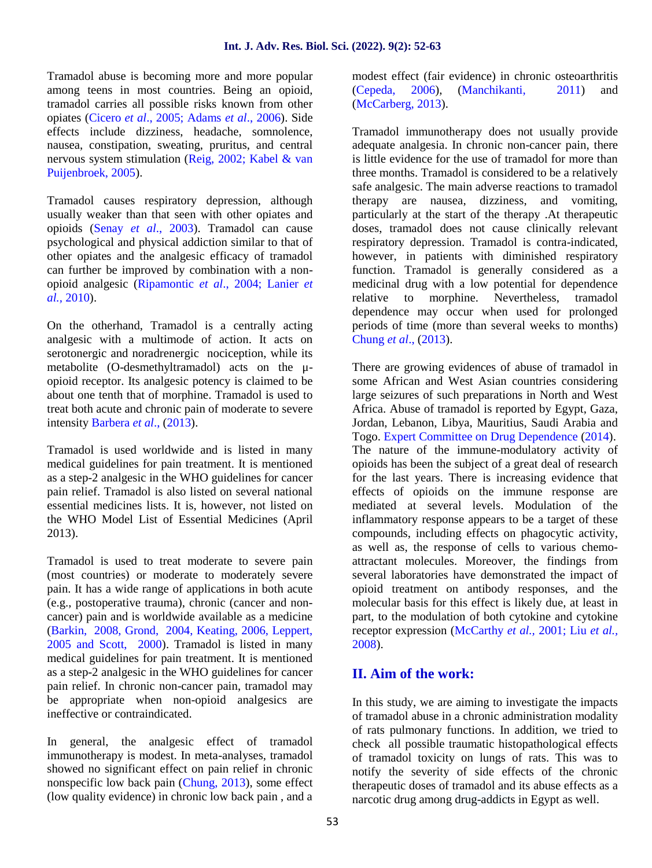Tramadol abuse is becoming more and more popular among teens in most countries. Being an opioid, tramadol carries all possible risks known from other opiates (Cicero *et al*., 2005; Adams *et al*., 2006). Side effects include dizziness, headache, somnolence, nausea, constipation, sweating, pruritus, and central nervous system stimulation (Reig, 2002; Kabel & van Puijenbroek, 2005).

Tramadol causes respiratory depression, although usually weaker than that seen with other opiates and opioids (Senay *et al*., 2003). Tramadol can cause psychological and physical addiction similar to that of other opiates and the analgesic efficacy of tramadol can further be improved by combination with a non opioid analgesic (Ripamontic *et al*., 2004; Lanier *et al.,* 2010).

On the otherhand, Tramadol is a centrally acting analgesic with a multimode of action. It acts on serotonergic and noradrenergic nociception, while its metabolite (O-desmethyltramadol) acts on the μ opioid receptor. Its analgesic potency is claimed to be about one tenth that of morphine. Tramadol is used to treat both acute and chronic pain of moderate to severe intensity Barbera *et al*., (2013).

Tramadol is used worldwide and is listed in many medical guidelines for pain treatment. It is mentioned as a step-2 analgesic in the WHO guidelines for cancer pain relief. Tramadol is also listed on several national essential medicines lists. It is, however, not listed on the WHO Model List of Essential Medicines (April 2013).

Tramadol is used to treat moderate to severe pain (most countries) or moderate to moderately severe pain. It has a wide range of applications in both acute (e.g., postoperative trauma), chronic (cancer and non cancer) pain and is worldwide available as a medicine (Barkin, 2008, Grond, 2004, Keating, 2006, Leppert, 2005 and Scott, 2000). Tramadol is listed in many medical guidelines for pain treatment. It is mentioned as a step-2 analgesic in the WHO guidelines for cancer pain relief. In chronic non-cancer pain, tramadol may be appropriate when non-opioid analgesics are ineffective or contraindicated.

In general, the analgesic effect of tramadol immunotherapy is modest. In meta-analyses, tramadol showed no significant effect on pain relief in chronic nonspecific low back pain (Chung, 2013), some effect (low quality evidence) in chronic low back pain , and a modest effect (fair evidence) in chronic osteoarthritis (Cepeda, 2006), (Manchikanti, 2011) and (McCarberg, 2013).

Tramadol immunotherapy does not usually provide adequate analgesia. In chronic non-cancer pain, there is little evidence for the use of tramadol for more than three months. Tramadol is considered to be a relatively safe analgesic. The main adverse reactions to tramadol therapy are nausea, dizziness, and vomiting, particularly at the start of the therapy .At therapeutic doses, tramadol does not cause clinically relevant respiratory depression. Tramadol is contra-indicated, however, in patients with diminished respiratory function. Tramadol is generally considered as a medicinal drug with a low potential for dependence relative to morphine. Nevertheless, tramadol dependence may occur when used for prolonged periods of time (more than several weeks to months) Chung *et al*., (2013).

There are growing evidences of abuse of tramadol in some African and West Asian countries considering large seizures of such preparations in North and West Africa. Abuse of tramadol is reported by Egypt, Gaza, Jordan, Lebanon, Libya, Mauritius, Saudi Arabia and Togo. Expert Committee on Drug Dependence (2014). The nature of the immune-modulatory activity of opioids has been the subject of a great deal of research for the last years. There is increasing evidence that effects of opioids on the immune response are mediated at several levels. Modulation of the inflammatory response appears to be a target of these compounds, including effects on phagocytic activity, as well as, the response of cells to various chemo attractant molecules. Moreover, the findings from several laboratories have demonstrated the impact of opioid treatment on antibody responses, and the molecular basis for this effect is likely due, at least in part, to the modulation of both cytokine and cytokine receptor expression (McCarthy *et al.,* 2001; Liu *et al.,* 2008).

# **II. Aim of the work:**

In this study, we are aiming to investigate the impacts of tramadol abuse in a chronic administration modality of rats pulmonary functions. In addition, we tried to check all possible traumatic histopathological effects of tramadol toxicity on lungs of rats. This was to notify the severity of side effects of the chronic therapeutic doses of tramadol and its abuse effects as a narcotic drug among drug-addicts in Egypt as well.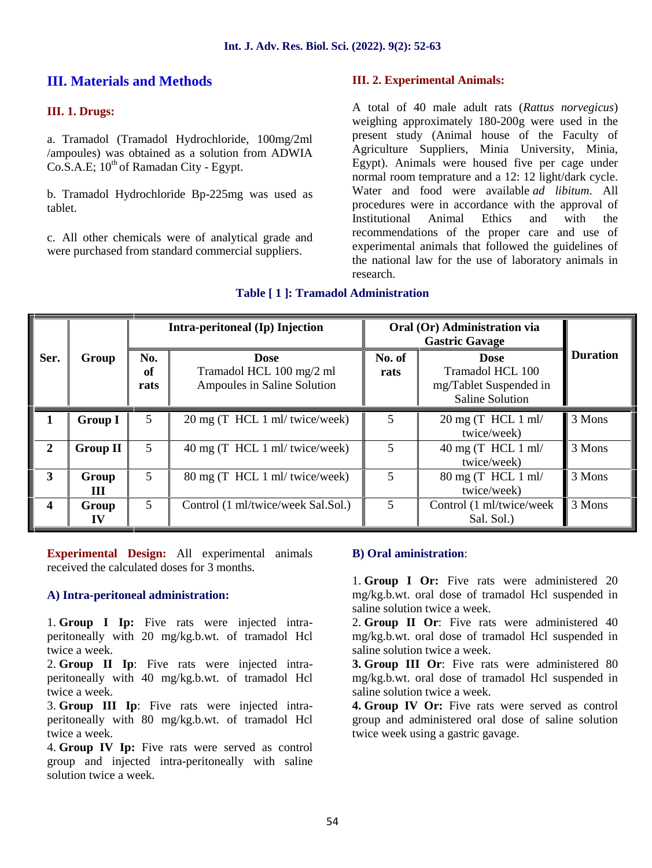# **III. Materials and Methods**

#### **III. 1. Drugs:**

a. Tramadol (Tramadol Hydrochloride, 100mg/2ml /ampoules) was obtained as a solution from ADWIA  $Co.S.A.E; 10<sup>th</sup> of Ramadan City - Egypt.$ 

b. Tramadol Hydrochloride Bp-225mg was used as tablet.

c. All other chemicals were of analytical grade and were purchased from standard commercial suppliers.

#### **III. 2. Experimental Animals:**

A total of 40 male adult rats (*Rattus norvegicus*) weighing approximately 180-200g were used in the present study (Animal house of the Faculty of Agriculture Suppliers, Minia University, Minia, Egypt). Animals were housed five per cage under normal room temprature and a 12: 12 light/dark cycle. Water and food were available *ad libitum*. All procedures were in accordance with the approval of Institutional Animal Ethics and with the recommendations of the proper care and use of experimental animals that followed the guidelines of the national law for the use of laboratory animals in research.

|                  |                 | Intra-peritoneal (Ip) Injection<br>Oral (Or) Administration via<br><b>Gastric Gavage</b> |                                                                        |                |                                                                              |                 |
|------------------|-----------------|------------------------------------------------------------------------------------------|------------------------------------------------------------------------|----------------|------------------------------------------------------------------------------|-----------------|
| Ser.             | Group           | No.<br>of<br>rats                                                                        | <b>Dose</b><br>Tramadol HCL 100 mg/2 ml<br>Ampoules in Saline Solution | No. of<br>rats | <b>Dose</b><br>Tramadol HCL 100<br>mg/Tablet Suspended in<br>Saline Solution | <b>Duration</b> |
| 1                | <b>Group I</b>  | 5                                                                                        | 20 mg (T HCL 1 ml/ twice/week)                                         | 5              | $20 \text{ mg}$ (T HCL 1 ml/<br>twice/week)                                  | 3 Mons          |
| $\overline{2}$   | <b>Group II</b> | 5                                                                                        | 40 mg (T HCL 1 ml/ twice/week)                                         | 5              | 40 mg (T HCL $1 \text{ ml}$<br>twice/week)                                   | 3 Mons          |
| 3                | Group<br>Ш      | 5                                                                                        | 80 mg (T HCL 1 ml/ twice/week)                                         | 5              | $80 \text{ mg}$ (T HCL 1 ml/<br>twice/week)                                  | 3 Mons          |
| $\boldsymbol{4}$ | Group<br>IV     | 5 <sup>5</sup>                                                                           | Control (1 ml/twice/week Sal.Sol.)                                     | 5              | Control (1 ml/twice/week<br>Sal. Sol.)                                       | 3 Mons          |

#### **Table [ 1 ]: Tramadol Administration**

**Experimental Design:** All experimental animals received the calculated doses for 3 months.

#### **A) Intra-peritoneal administration:**

1. **Group I Ip:** Five rats were injected intra peritoneally with 20 mg/kg.b.wt. of tramadol Hcl twice a week.

2. **Group II Ip**: Five rats were injected intra peritoneally with 40 mg/kg.b.wt. of tramadol Hcl twice a week.

3. **Group III Ip**: Five rats were injected intra peritoneally with 80 mg/kg.b.wt. of tramadol Hcl twice a week.

4. **Group IV Ip:** Five rats were served as control group and injected intra-peritoneally with saline solution twice a week.

#### **B) Oral aministration**:

1. **Group I Or:** Five rats were administered 20 mg/kg.b.wt. oral dose of tramadol Hcl suspended in saline solution twice a week.

2. **Group II Or**: Five rats were administered 40 mg/kg.b.wt. oral dose of tramadol Hcl suspended in saline solution twice a week.

**3. Group III Or**: Five rats were administered 80 mg/kg.b.wt. oral dose of tramadol Hcl suspended in saline solution twice a week.

**4. Group IV Or:** Five rats were served as control group and administered oral dose of saline solution twice week using a gastric gavage.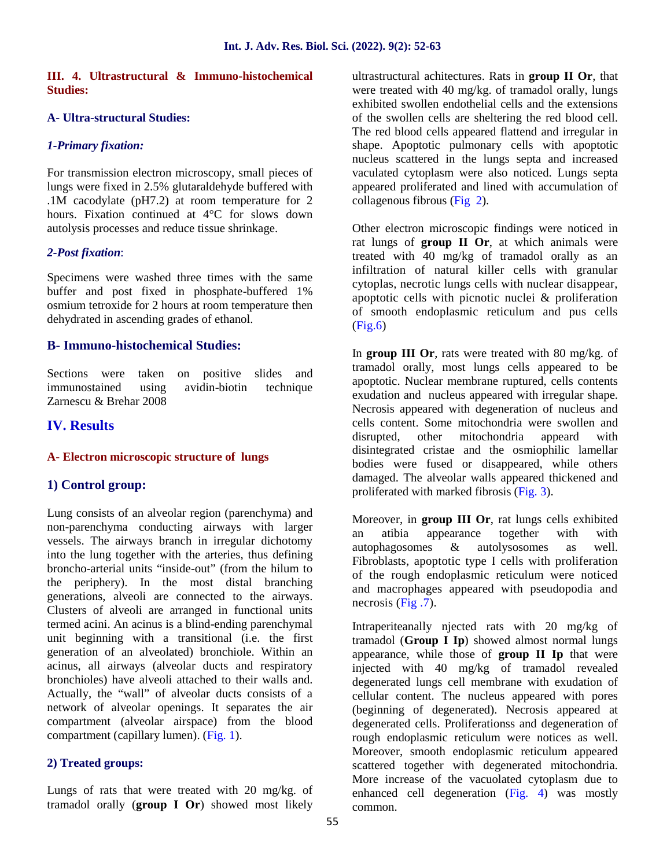#### **III. 4. Ultrastructural & Immuno-histochemical Studies:**

#### **A- Ultra-structural Studies:**

#### *1-Primary fixation:*

For transmission electron microscopy, small pieces of lungs were fixed in 2.5% glutaraldehyde buffered with .1M cacodylate (pH7.2) at room temperature for 2 hours. Fixation continued at 4°C for slows down autolysis processes and reduce tissue shrinkage.

#### *2-Post fixation*:

Specimens were washed three times with the same buffer and post fixed in phosphate-buffered 1% osmium tetroxide for 2 hours at room temperature then dehydrated in ascending grades of ethanol.

#### **B- Immuno-histochemical Studies:**

Sections were taken on positive slides and immunostained using avidin-biotin technique Zarnescu & Brehar 2008

## **IV. Results**

#### **A- Electron microscopic structure of lungs**

#### **1) Control group:**

Lung consists of an alveolar region (parenchyma) and non-parenchyma conducting airways with larger versels. The airways branch in irregular dichotomy into the lung together with the arteries, thus defining broncho-arterial units "inside-out" (from the hilum to the periphery). In the most distal branching generations, alveoli are connected to the airways. Clusters of alveoli are arranged in functional units termed acini. An acinus is a blind-ending parenchymal unit beginning with a transitional (i.e. the first generation of an alveolated) bronchiole. Within an acinus, all airways (alveolar ducts and respiratory bronchioles) have alveoli attached to their walls and. Actually, the "wall" of alveolar ducts consists of a network of alveolar openings. It separates the air compartment (alveolar airspace) from the blood compartment (capillary lumen). (Fig. 1).

#### **2) Treated groups:**

Lungs of rats that were treated with 20 mg/kg. of tramadol orally (**group I Or**) showed most likely ultrastructural achitectures. Rats in **group II Or**, that were treated with 40 mg/kg. of tramadol orally, lungs exhibited swollen endothelial cells and the extensions of the swollen cells are sheltering the red blood cell. The red blood cells appeared flattend and irregular in shape. Apoptotic pulmonary cells with apoptotic nucleus scattered in the lungs septa and increased vaculated cytoplasm were also noticed. Lungs septa appeared proliferated and lined with accumulation of collagenous fibrous (Fig 2).

Other electron microscopic findings were noticed in rat lungs of **group II Or**, at which animals were treated with 40 mg/kg of tramadol orally as an infiltration of natural killer cells with granular cytoplas, necrotic lungs cells with nuclear disappear, apoptotic cells with picnotic nuclei & proliferation of smooth endoplasmic reticulum and pus cells (Fig.6)

In **group III Or**, rats were treated with 80 mg/kg. of tramadol orally, most lungs cells appeared to be apoptotic. Nuclear membrane ruptured, cells contents exudation and nucleus appeared with irregular shape. Necrosis appeared with degeneration of nucleus and cells content. Some mitochondria were swollen and disrupted, other mitochondria appeard with disintegrated cristae and the osmiophilic lamellar bodies were fused or disappeared, while others damaged. The alveolar walls appeared thickened and proliferated with marked fibrosis (Fig. 3).

Moreover, in **group III Or**, rat lungs cells exhibited<br>an atibia appearance together with with appearance together with with autophagosomes & autolysosomes as well. Fibroblasts, apoptotic type I cells with proliferation of the rough endoplasmic reticulum were noticed and macrophages appeared with pseudopodia and necrosis  $(Fig.7)$ .

Intraperiteanally njected rats with 20 mg/kg of tramadol (**Group I Ip**) showed almost normal lungs appearance, while those of **group II Ip** that were injected with 40 mg/kg of tramadol revealed degenerated lungs cell membrane with exudation of cellular content. The nucleus appeared with pores (beginning of degenerated). Necrosis appeared at degenerated cells. Proliferationss and degeneration of rough endoplasmic reticulum were notices as well. Moreover, smooth endoplasmic reticulum appeared scattered together with degenerated mitochondria. More increase of the vacuolated cytoplasm due to enhanced cell degeneration (Fig. 4) was mostly common.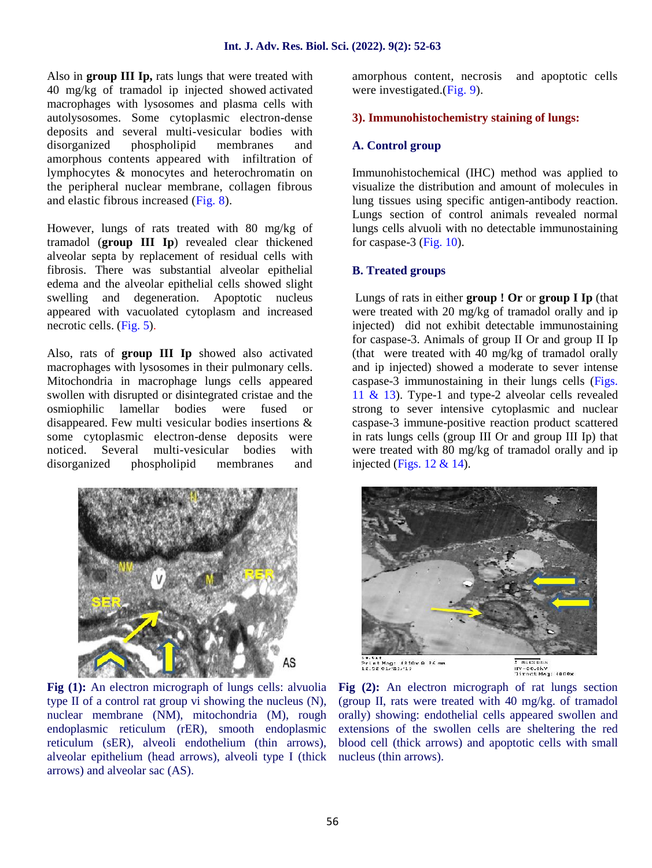Also in **group III Ip,** rats lungs that were treated with 40 mg/kg of tramadol ip injected showed activated macrophages with lysosomes and plasma cells with autolysosomes. Some cytoplasmic electron-dense deposits and several multi-vesicular bodies with disorganized phospholipid membranes and amorphous contents appeared with infiltration of lymphocytes & monocytes and heterochromatin on the peripheral nuclear membrane, collagen fibrous and elastic fibrous increased (Fig. 8).

However, lungs of rats treated with 80 mg/kg of tramadol (**group III Ip**) revealed clear thickened alveolar septa by replacement of residual cells with fibrosis. There was substantial alveolar epithelial edema and the alveolar epithelial cells showed slight swelling and degeneration. Apoptotic nucleus appeared with vacuolated cytoplasm and increased necrotic cells. (Fig. 5).

Also, rats of **group III Ip** showed also activated macrophages with lysosomes in their pulmonary cells. Mitochondria in macrophage lungs cells appeared swollen with disrupted or disintegrated cristae and the osmiophilic lamellar bodies were fused or disappeared. Few multi vesicular bodies insertions & some cytoplasmic electron-dense deposits were noticed. Several multi-vesicular bodies with disorganized phospholipid membranes and



**Fig (1):** An electron micrograph of lungs cells: alvuolia type II of a control rat group vi showing the nucleus (N), nuclear membrane (NM), mitochondria (M), rough endoplasmic reticulum (rER), smooth endoplasmic reticulum (sER), alveoli endothelium (thin arrows), alveolar epithelium (head arrows), alveoli type I (thick arrows) and alveolar sac (AS).

amorphous content, necrosis and apoptotic cells were investigated.(Fig. 9).

### **3). Immunohistochemistry staining of lungs:**

## **A. Control group**

Immunohistochemical (IHC) method was applied to visualize the distribution and amount of molecules in lung tissues using specific antigen-antibody reaction. Lungs section of control animals revealed normal lungs cells alvuoli with no detectable immunostaining for caspase-3 (Fig. 10).

#### **B. Treated groups**

Lungs of rats in either **group ! Or** or **group I Ip** (that were treated with 20 mg/kg of tramadol orally and ip injected) did not exhibit detectable immunostaining for caspase-3. Animals of group II Or and group II Ip (that were treated with 40 mg/kg of tramadol orally and ip injected) showed a moderate to sever intense caspase-3 immunostaining in their lungs cells (Figs. 11 & 13). Type-1 and type-2 alveolar cells revealed strong to sever intensive cytoplasmic and nuclear caspase-3 immune-positive reaction product scattered in rats lungs cells (group III Or and group III Ip) that were treated with 80 mg/kg of tramadol orally and ip injected (Figs.  $12 \& 14$ ).



**Fig (2):** An electron micrograph of rat lungs section (group II, rats were treated with 40 mg/kg. of tramadol orally) showing: endothelial cells appeared swollen and extensions of the swollen cells are sheltering the red blood cell (thick arrows) and apoptotic cells with small nucleus (thin arrows).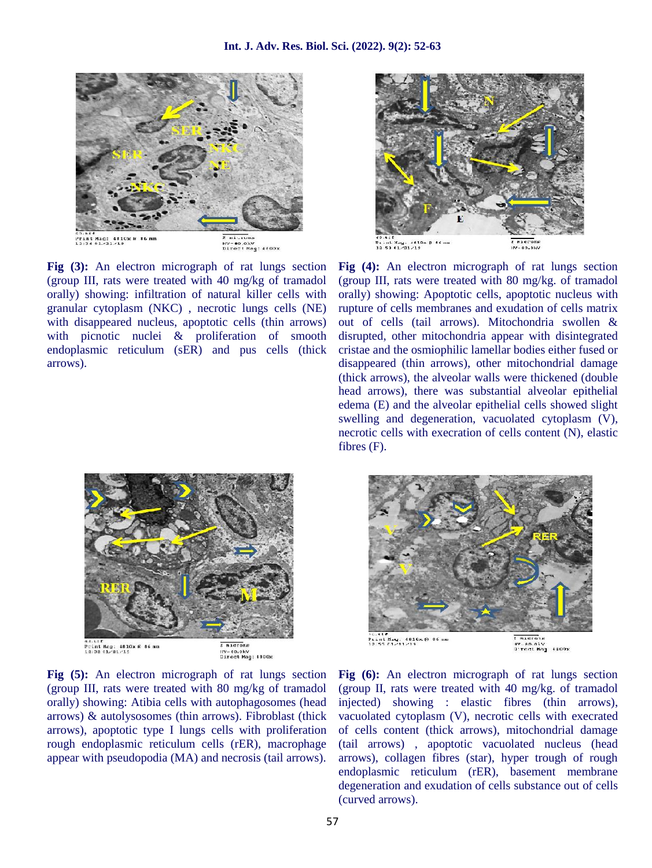

**Fig (3):** An electron micrograph of rat lungs section (group III, rats were treated with 40 mg/kg of tramadol orally) showing: infiltration of natural killer cells with granular cytoplasm (NKC) , necrotic lungs cells (NE) with disappeared nucleus, apoptotic cells (thin arrows) with picnotic nuclei & proliferation of smooth endoplasmic reticulum (sER) and pus cells (thick arrows).



**Fig (5):** An electron micrograph of rat lungs section (group III, rats were treated with 80 mg/kg of tramadol orally) showing: Atibia cells with autophagosomes (head arrows) & autolysosomes (thin arrows). Fibroblast (thick arrows), apoptotic type I lungs cells with proliferation rough endoplasmic reticulum cells (rER), macrophage appear with pseudopodia (MA) and necrosis (tail arrows).



**Fig (4):** An electron micrograph of rat lungs section (group III, rats were treated with 80 mg/kg. of tramadol orally) showing: Apoptotic cells, apoptotic nucleus with rupture of cells membranes and exudation of cells matrix out of cells (tail arrows). Mitochondria swollen & disrupted, other mitochondria appear with disintegrated cristae and the osmiophilic lamellar bodies either fused or disappeared (thin arrows), other mitochondrial damage (thick arrows), the alveolar walls were thickened (double head arrows), there was substantial alveolar epithelial edema (E) and the alveolar epithelial cells showed slight swelling and degeneration, vacuolated cytoplasm (V), necrotic cells with execration of cells content (N), elastic fibres (F).



**Fig (6):** An electron micrograph of rat lungs section (group II, rats were treated with 40 mg/kg. of tramadol injected) showing : elastic fibres (thin arrows), vacuolated cytoplasm (V), necrotic cells with execrated of cells content (thick arrows), mitochondrial damage (tail arrows) , apoptotic vacuolated nucleus (head arrows), collagen fibres (star), hyper trough of rough endoplasmic reticulum (rER), basement membrane degeneration and exudation of cells substance out of cells (curved arrows).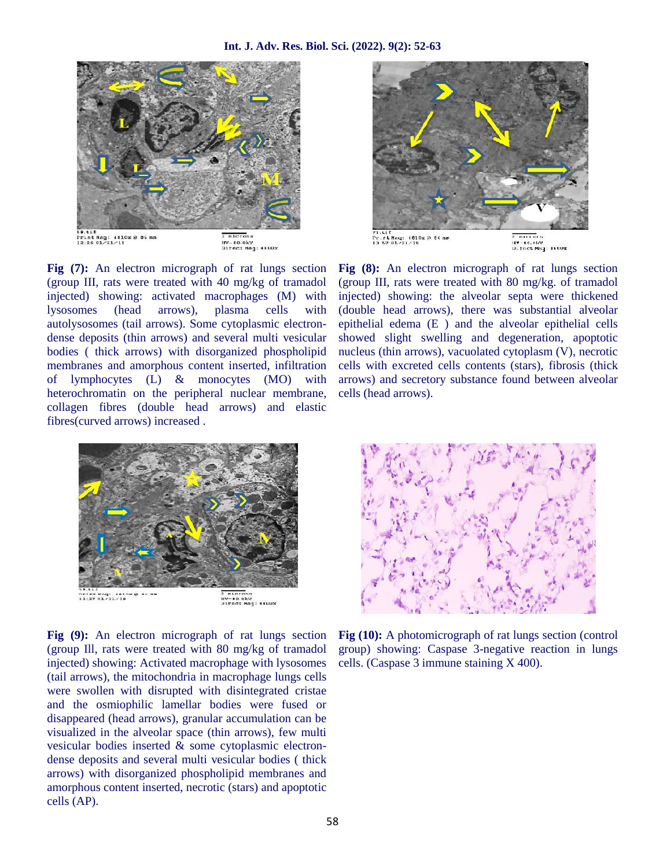

**Fig (7):** An electron micrograph of rat lungs section (group III, rats were treated with 40 mg/kg of tramadol injected) showing: activated macrophages (M) with lysosomes (head arrows), plasma cells with autolysosomes (tail arrows). Some cytoplasmic electron dense deposits (thin arrows) and several multi vesicular bodies ( thick arrows) with disorganized phospholipid membranes and amorphous content inserted, infiltration of lymphocytes (L) & monocytes (MO) with heterochromatin on the peripheral nuclear membrane, collagen fibres (double head arrows) and elastic fibres(curved arrows) increased .



**Fig (9):** An electron micrograph of rat lungs section (group Ill, rats were treated with 80 mg/kg of tramadol injected) showing: Activated macrophage with lysosomes (tail arrows), the mitochondria in macrophage lungs cells were swollen with disrupted with disintegrated cristae and the osmiophilic lamellar bodies were fused or disappeared (head arrows), granular accumulation can be visualized in the alveolar space (thin arrows), few multi vesicular bodies inserted & some cytoplasmic electron dense deposits and several multi vesicular bodies ( thick arrows) with disorganized phospholipid membranes and amorphous content inserted, necrotic (stars) and apoptotic cells (AP).



**Fig (8):** An electron micrograph of rat lungs section (group III, rats were treated with 80 mg/kg. of tramadol injected) showing: the alveolar septa were thickened (double head arrows), there was substantial alveolar epithelial edema (E ) and the alveolar epithelial cells showed slight swelling and degeneration, apoptotic nucleus (thin arrows), vacuolated cytoplasm (V), necrotic cells with excreted cells contents (stars), fibrosis (thick arrows) and secretory substance found between alveolar cells (head arrows).



**Fig (10):** A photomicrograph of rat lungs section (control group) showing: Caspase 3-negative reaction in lungs cells. (Caspase 3 immune staining X 400).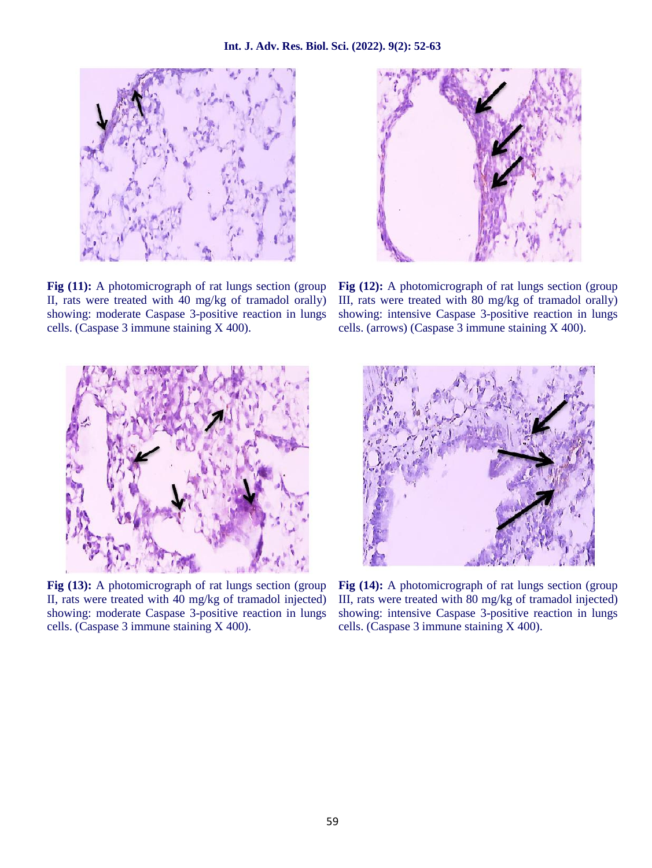

**Fig (11):** A photomicrograph of rat lungs section (group) II, rats were treated with 40 mg/kg of tramadol orally) showing: moderate Caspase 3-positive reaction in lungs cells. (Caspase 3 immune staining X 400).



**Fig (13):** A photomicrograph of rat lungs section (group) II, rats were treated with 40 mg/kg of tramadol injected) showing: moderate Caspase 3-positive reaction in lungs cells. (Caspase 3 immune staining X 400).



**Fig (12):** A photomicrograph of rat lungs section (group III, rats were treated with 80 mg/kg of tramadol orally) showing: intensive Caspase 3-positive reaction in lungs cells. (arrows) (Caspase 3 immune staining X 400).



**Fig (14):** A photomicrograph of rat lungs section (group) III, rats were treated with 80 mg/kg of tramadol injected) showing: intensive Caspase 3-positive reaction in lungs cells. (Caspase 3 immune staining X 400).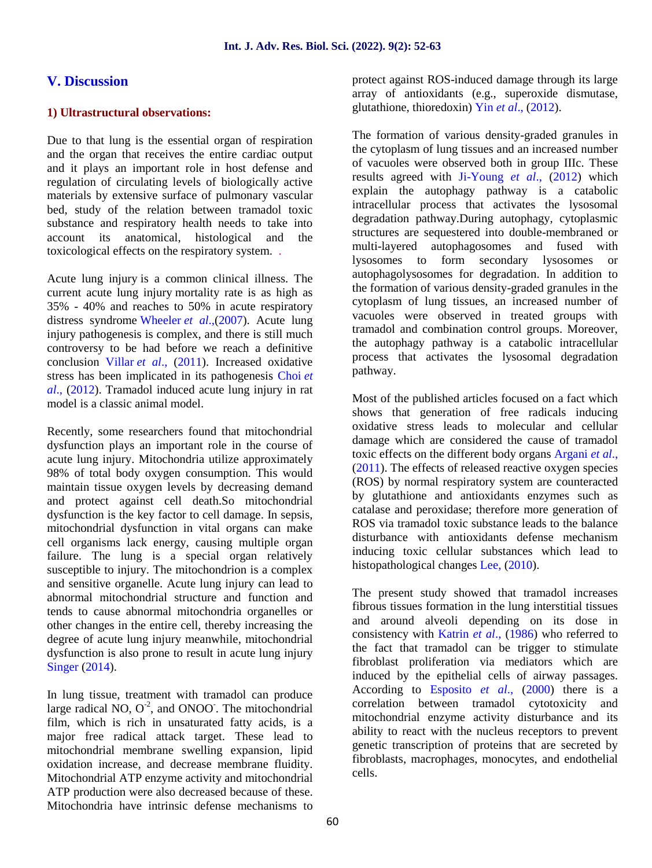## **V. Discussion**

#### **1) Ultrastructural observations:**

Due to that lung is the essential organ of respiration and the organ that receives the entire cardiac output and it plays an important role in host defense and regulation of circulating levels of biologically active materials by extensive surface of pulmonary vascular bed, study of the relation between tramadol toxic substance and respiratory health needs to take into account its anatomical, histological and the toxicological effects on the respiratory system. .

Acute lung injury is a common clinical illness. The current acute lung injury mortality rate is as high as 35% - 40% and reaches to 50% in acute respiratory distress syndrome Wheeler *et al*.,(2007). Acute lung injury pathogenesis is complex, and there is still much controversy to be had before we reach a definitive conclusion Villar *et al*., (2011). Increased oxidative stress has been implicated in its pathogenesis Choi *et al*., (2012). Tramadol induced acute lung injury in rat model is a classic animal model.

Recently, some researchers found that mitochondrial dysfunction plays an important role in the course of acute lung injury. Mitochondria utilize approximately 98% of total body oxygen consumption. This would maintain tissue oxygen levels by decreasing demand and protect against cell death.So mitochondrial dysfunction is the key factor to cell damage. In sepsis, mitochondrial dysfunction in vital organs can make cell organisms lack energy, causing multiple organ failure. The lung is a special organ relatively susceptible to injury. The mitochondrion is a complex and sensitive organelle. Acute lung injury can lead to abnormal mitochondrial structure and function and tends to cause abnormal mitochondria organelles or other changes in the entire cell, thereby increasing the degree of acute lung injury meanwhile, mitochondrial dysfunction is also prone to result in acute lung injury Singer (2014).

In lung tissue, treatment with tramadol can produce large radical NO,  $O^2$ , and ONOO. The mitochondrial film, which is rich in unsaturated fatty acids, is a major free radical attack target. These lead to mitochondrial membrane swelling expansion, lipid oxidation increase, and decrease membrane fluidity. Mitochondrial ATP enzyme activity and mitochondrial ATP production were also decreased because of these. Mitochondria have intrinsic defense mechanisms to

protect against ROS-induced damage through its large array of antioxidants (e.g., superoxide dismutase, glutathione, thioredoxin) Yin *et al*., (2012).

The formation of various density-graded granules in the cytoplasm of lung tissues and an increased number of vacuoles were observed both in group IIIc. These results agreed with Ji-Young *et al*., (2012) which explain the autophagy pathway is a catabolic intracellular process that activates the lysosomal degradation pathway.During autophagy, cytoplasmic structures are sequestered into double-membraned or multi-layered autophagosomes and fused with lysosomes to form secondary lysosomes or autophagolysosomes for degradation. In addition to the formation of various density-graded granules in the cytoplasm of lung tissues, an increased number of vacuoles were observed in treated groups with tramadol and combination control groups. Moreover, the autophagy pathway is a catabolic intracellular process that activates the lysosomal degradation pathway.

Most of the published articles focused on a fact which shows that generation of free radicals inducing oxidative stress leads to molecular and cellular damage which are considered the cause of tramadol toxic effects on the different body organs Argani *et al*., (2011). The effects of released reactive oxygen species (ROS) by normal respiratory system are counteracted by glutathione and antioxidants enzymes such as catalase and peroxidase; therefore more generation of ROS via tramadol toxic substance leads to the balance disturbance with antioxidants defense mechanism inducing toxic cellular substances which lead to histopathological changes Lee, (2010).

The present study showed that tramadol increases fibrous tissues formation in the lung interstitial tissues and around alveoli depending on its dose in consistency with Katrin *et al*., (1986) who referred to the fact that tramadol can be trigger to stimulate fibroblast proliferation via mediators which are induced by the epithelial cells of airway passages. According to Esposito *et al*., (2000) there is a correlation between tramadol cytotoxicity and mitochondrial enzyme activity disturbance and its ability to react with the nucleus receptors to prevent genetic transcription of proteins that are secreted by fibroblasts, macrophages, monocytes, and endothelial cells.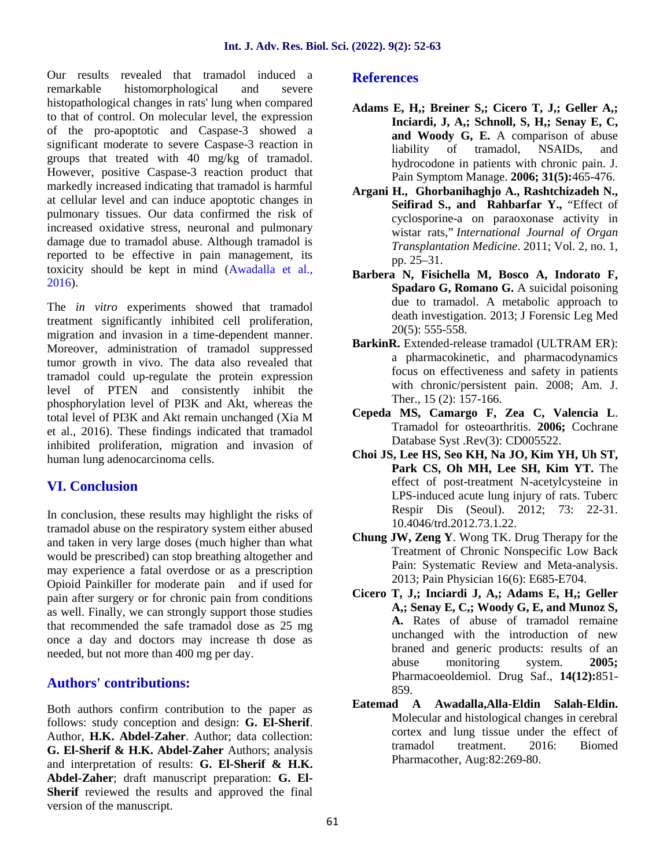Our results revealed that tramadol induced a remarkable histomorphological and severe histopathological changes in rats' lung when compared to that of control. On molecular level, the expression of the pro-apoptotic and Caspase-3 showed a significant moderate to severe Caspase-3 reaction in groups that treated with 40 mg/kg of tramadol. However, positive Caspase-3 reaction product that markedly increased indicating that tramadol is harmful at cellular level and can induce apoptotic changes in pulmonary tissues. Our data confirmed the risk of increased oxidative stress, neuronal and pulmonary damage due to tramadol abuse. Although tramadol is reported to be effective in pain management, its toxicity should be kept in mind (Awadalla et al., 2016).

The *in vitro* experiments showed that tramadol treatment significantly inhibited cell proliferation, migration and invasion in a time-dependent manner. Moreover, administration of tramadol suppressed tumor growth in vivo. The data also revealed that tramadol could up-regulate the protein expression level of PTEN and consistently inhibit the phosphorylation level of PI3K and Akt, whereas the total level of PI3K and Akt remain unchanged (Xia M et al., 2016). These findings indicated that tramadol inhibited proliferation, migration and invasion of human lung adenocarcinoma cells.

# **VI. Conclusion**

In conclusion, these results may highlight the risks of tramadol abuse on the respiratory system either abused and taken in very large doses (much higher than what would be prescribed) can stop breathing altogether and may experience a fatal overdose or as a prescription Opioid Painkiller for moderate pain and if used for pain after surgery or for chronic pain from conditions as well. Finally, we can strongly support those studies that recommended the safe tramadol dose as 25 mg once a day and doctors may increase th dose as needed, but not more than 400 mg per day.

# **Authors' contributions:**

Both authors confirm contribution to the paper as follows: study conception and design: **G. El-Sherif**. Author, **H.K. Abdel-Zaher**. Author; data collection: **G. El-Sherif & H.K. Abdel-Zaher** Authors; analysis and interpretation of results: **G. El-Sherif & H.K. Abdel-Zaher**; draft manuscript preparation: **G. El- Sherif** reviewed the results and approved the final version of the manuscript.

## **References**

- **Adams E, H,; Breiner S,; Cicero T, J,; Geller A,; Inciardi, J, A,; Schnoll, S, H,; Senay E, C, and Woody G, E.** A comparison of abuse liability of tramadol, NSAIDs, and hydrocodone in patients with chronic pain. J. Pain Symptom Manage. **2006; 31(5):**465-476.
- **Argani H., Ghorbanihaghjo A., Rashtchizadeh N., Seifirad S., and Rahbarfar Y.,** "Effect of cyclosporine-a on paraoxonase activity in wistar rats," *International Journal of Organ Transplantation Medicine*. 2011; Vol. 2, no. 1, pp. 25–31.
- **Barbera N, Fisichella M, Bosco A, Indorato F, Spadaro G, Romano G.** A suicidal poisoning due to tramadol. A metabolic approach to death investigation. 2013; J Forensic Leg Med 20(5): 555-558.
- **BarkinR.** Extended-release tramadol (ULTRAM ER): a pharmacokinetic, and pharmacodynamics focus on effectiveness and safety in patients with chronic/persistent pain. 2008; Am. J. Ther., 15 (2): 157-166.
- **Cepeda MS, Camargo F, Zea C, Valencia L**. Tramadol for osteoarthritis. **2006;** Cochrane Database Syst .Rev(3): CD005522.
- **Choi JS, Lee HS, Seo KH, Na JO, Kim YH, Uh ST, Park CS, Oh MH, Lee SH, Kim YT.** The effect of post-treatment N-acetylcysteine in LPS-induced acute lung injury of rats. Tuberc Respir Dis (Seoul). 2012; 73: 22-31. 10.4046/trd.2012.73.1.22.
- **Chung JW, Zeng Y**. Wong TK. Drug Therapy for the Treatment of Chronic Nonspecific Low Back Pain: Systematic Review and Meta-analysis. 2013; Pain Physician 16(6): E685-E704.
- **Cicero T, J,; Inciardi J, A,; Adams E, H,; Geller A,; Senay E, C,; Woody G, E, and Munoz S, A.** Rates of abuse of tramadol remaine unchanged with the introduction of new braned and generic products: results of an abuse monitoring system. **2005;** Pharmacoeoldemiol. Drug Saf., **14(12):**851- 859.
- **Eatemad A Awadalla,Alla-Eldin Salah-Eldin.** Molecular and histological changes in cerebral cortex and lung tissue under the effect of tramadol treatment. 2016: Biomed Pharmacother, Aug:82:269-80.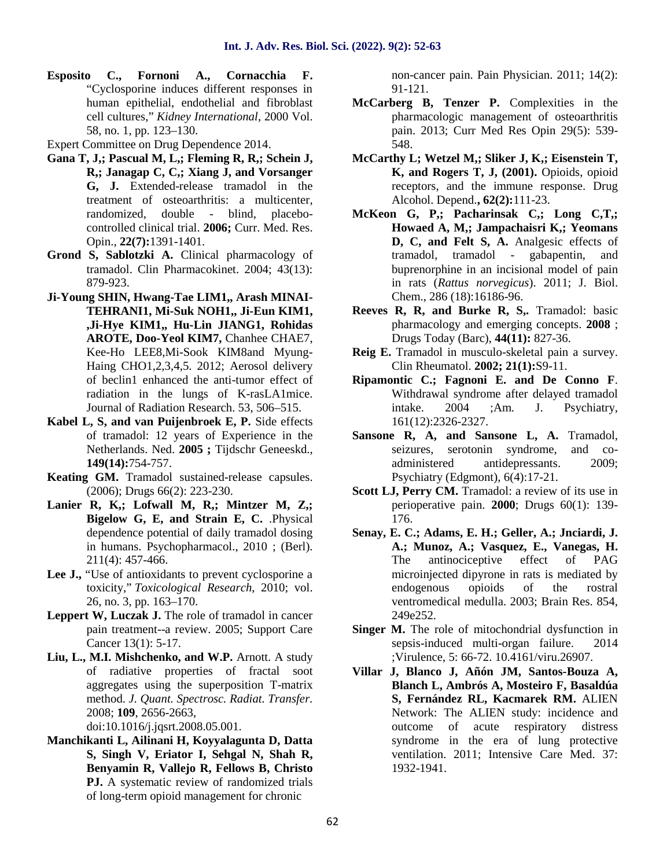**Esposito C., Fornoni A., Cornacchia F.** "Cyclosporine induces different responses in human epithelial, endothelial and fibroblast cell cultures," *Kidney International*, 2000 Vol. 58, no. 1, pp. 123–130.

Expert Committee on Drug Dependence 2014.

- **Gana T, J,; Pascual M, L,; Fleming R, R,; Schein J, R,; Janagap C, C,; Xiang J, and Vorsanger G, J.** Extended-release tramadol in the treatment of osteoarthritis: a multicenter, randomized, double - blind, placebo controlled clinical trial. **2006;** Curr. Med. Res. Opin., **22(7):**1391-1401.
- **Grond S, Sablotzki A.** Clinical pharmacology of tramadol. Clin Pharmacokinet. 2004; 43(13): 879-923.
- **Ji-Young SHIN, Hwang-Tae LIM1,, Arash MINAI- TEHRANI1, Mi-Suk NOH1,, Ji-Eun KIM1, ,Ji-Hye KIM1,, Hu-Lin JIANG1, Rohidas AROTE, Doo-Yeol KIM7,** Chanhee CHAE7, Kee-Ho LEE8,Mi-Sook KIM8and Myung- Haing CHO1,2,3,4,5. 2012; Aerosol delivery of beclin1 enhanced the anti-tumor effect of radiation in the lungs of K-rasLA1mice. Journal of Radiation Research. 53, 506–515.
- **Kabel L, S, and van Puijenbroek E, P.** Side effects of tramadol: 12 years of Experience in the Netherlands. Ned. **2005 ;** Tijdschr Geneeskd., **149(14):**754-757.
- **Keating GM.** Tramadol sustained-release capsules. (2006); Drugs 66(2): 223-230.
- **Lanier R, K,; Lofwall M, R,; Mintzer M, Z,; Bigelow G, E, and Strain E, C.** .Physical dependence potential of daily tramadol dosing in humans. Psychopharmacol., 2010 ; (Berl). 211(4): 457-466.
- Lee **J.**, "Use of antioxidants to prevent cyclosporine a toxicity," *Toxicological Research*, 2010; vol. 26, no. 3, pp. 163–170.
- Leppert W, Luczak J. The role of tramadol in cancer pain treatment--a review. 2005; Support Care Cancer 13(1): 5-17.
- **Liu, L., M.I. Mishchenko, and W.P.** Arnott. A study of radiative properties of fractal soot aggregates using the superposition T-matrix method. *J. Quant. Spectrosc. Radiat. Transfer.* 2008; **109**, 2656-2663,

doi:10.1016/j.jqsrt.2008.05.001.

**Manchikanti L, Ailinani H, Koyyalagunta D, Datta S, Singh V, Eriator I, Sehgal N, Shah R, Benyamin R, Vallejo R, Fellows B, Christo** PJ. A systematic review of randomized trials of long-term opioid management for chronic

non-cancer pain. Pain Physician. 2011; 14(2): 91-121.

- **McCarberg B, Tenzer P.** Complexities in the pharmacologic management of osteoarthritis pain. 2013; Curr Med Res Opin 29(5): 539- 548.
- **McCarthy L; Wetzel M,; Sliker J, K,; Eisenstein T, K, and Rogers T, J, (2001).** Opioids, opioid receptors, and the immune response. Drug Alcohol. Depend.**, 62(2):**111-23.
- **McKeon G, P,; Pacharinsak C,; Long C,T,; Howaed A, M,; Jampachaisri K,; Yeomans D, C, and Felt S, A.** Analgesic effects of tramadol, tramadol - gabapentin, and buprenorphine in an incisional model of pain in rats (*Rattus norvegicus*). 2011; J. Biol. Chem., 286 (18):16186-96.
- **Reeves R, R, and Burke R, S,.** Tramadol: basic pharmacology and emerging concepts. **2008** ; Drugs Today (Barc), **44(11):** 827-36.
- **Reig E.** Tramadol in musculo-skeletal pain a survey. Clin Rheumatol. **2002; 21(1):**S9-11.
- **Ripamontic C.; Fagnoni E. and De Conno F**. Withdrawal syndrome after delayed tramadol intake. 2004 ;Am. J. Psychiatry, 161(12):2326-2327.
- **Sansone R, A, and Sansone L, A.** Tramadol, seizures, serotonin syndrome, and co administered antidepressants. 2009; Psychiatry (Edgmont), 6(4):17-21.
- Scott LJ, Perry CM. Tramadol: a review of its use in perioperative pain. **2000**; Drugs 60(1): 139- 176.
- **Senay, E. C.; Adams, E. H.; Geller, A.; Jnciardi, J. A.; Munoz, A.; Vasquez, E., Vanegas, H.** The antinociceptive effect of PAG microinjected dipyrone in rats is mediated by endogenous opioids of the rostral ventromedical medulla. 2003; Brain Res. 854, 249e252.
- **Singer M.** The role of mitochondrial dysfunction in sepsis-induced multi-organ failure. 2014 ;Virulence, 5: 66-72. 10.4161/viru.26907.
- **Villar J, Blanco J, Añón JM, Santos-Bouza A, Blanch L, Ambrós A, Mosteiro F, Basaldúa S, Fernández RL, Kacmarek RM.** ALIEN Network: The ALIEN study: incidence and outcome of acute respiratory distress syndrome in the era of lung protective ventilation. 2011; Intensive Care Med. 37: 1932-1941.